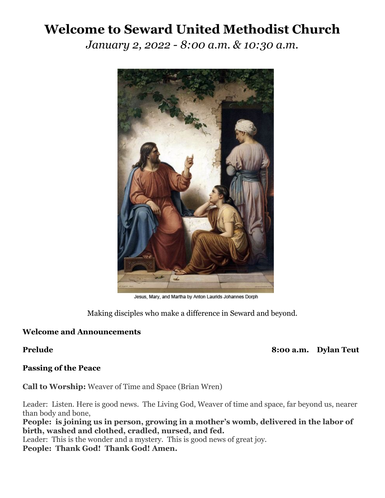# **Welcome to Seward United Methodist Church**

*January 2, 2022 - 8:00 a.m. & 10:30 a.m.*



Jesus, Mary, and Martha by Anton Laurids Johannes Dorph

Making disciples who make a difference in Seward and beyond.

# **Welcome and Announcements**

**Prelude 8:00 a.m. Dylan Teut**

#### **Passing of the Peace**

**Call to Worship:** Weaver of Time and Space (Brian Wren)

Leader: Listen. Here is good news. The Living God, Weaver of time and space, far beyond us, nearer than body and bone, **People: is joining us in person, growing in a mother's womb, delivered in the labor of** 

**birth, washed and clothed, cradled, nursed, and fed.** 

Leader: This is the wonder and a mystery. This is good news of great joy. **People: Thank God! Thank God! Amen.**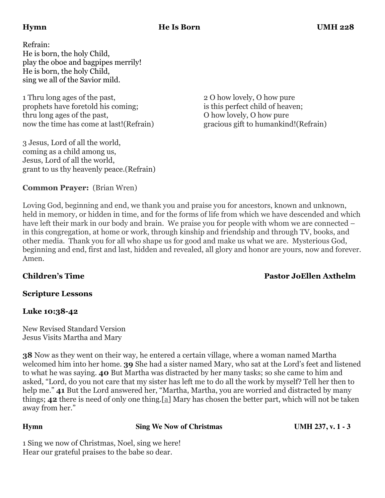Refrain: He is born, the holy Child, play the oboe and bagpipes merrily! He is born, the holy Child, sing we all of the Savior mild.

1 Thru long ages of the past, 2 O how lovely, O how pure prophets have foretold his coming; is this perfect child of heaven; thru long ages of the past, O how lovely, O how pure now the time has come at last!(Refrain) gracious gift to humankind!(Refrain)

3 Jesus, Lord of all the world, coming as a child among us, Jesus, Lord of all the world, grant to us thy heavenly peace.(Refrain)

# **Common Prayer:** (Brian Wren)

Loving God, beginning and end, we thank you and praise you for ancestors, known and unknown, held in memory, or hidden in time, and for the forms of life from which we have descended and which have left their mark in our body and brain. We praise you for people with whom we are connected – in this congregation, at home or work, through kinship and friendship and through TV, books, and other media. Thank you for all who shape us for good and make us what we are. Mysterious God, beginning and end, first and last, hidden and revealed, all glory and honor are yours, now and forever. Amen.

# **Children's Time Pastor JoEllen Axthelm**

# **Scripture Lessons**

# **Luke 10:38-42**

New Revised Standard Version Jesus Visits Martha and Mary

**38** Now as they went on their way, he entered a certain village, where a woman named Martha welcomed him into her home. **39** She had a sister named Mary, who sat at the Lord's feet and listened to what he was saying. **40** But Martha was distracted by her many tasks; so she came to him and asked, "Lord, do you not care that my sister has left me to do all the work by myself? Tell her then to help me." **41** But the Lord answered her, "Martha, Martha, you are worried and distracted by many things; **42** there is need of only one thing.[[a\]](https://www-biblegateway-com.cdn.ampproject.org/v/s/www.biblegateway.com/passage/?search=Luke%2010%3A38-42&version=NRSV&interface=amp&_js_v=0.1&usqp=mq331AQKKAFQArABIIACAw%3D%3D#fen-NRSV-25398a) Mary has chosen the better part, which will not be taken away from her."

#### **Hymn** Sing We Now of Christmas UMH 237, v. 1 - 3

1 Sing we now of Christmas, Noel, sing we here! Hear our grateful praises to the babe so dear.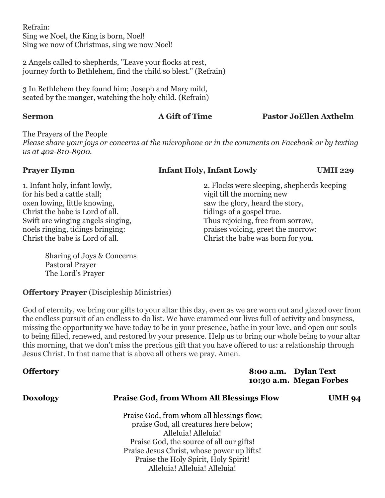Refrain: Sing we Noel, the King is born, Noel! Sing we now of Christmas, sing we now Noel!

2 Angels called to shepherds, "Leave your flocks at rest, journey forth to Bethlehem, find the child so blest." (Refrain)

3 In Bethlehem they found him; Joseph and Mary mild, seated by the manger, watching the holy child. (Refrain)

**Sermon A Gift of Time Pastor JoEllen Axthelm**

The Prayers of the People

*Please share your joys or concerns at the microphone or in the comments on Facebook or by texting us at 402-810-8900.*

# **Prayer Hymn Infant Holy, Infant Lowly UMH 229**

1. Infant holy, infant lowly, 2. Flocks were sleeping, shepherds keeping for his bed a cattle stall;  $\frac{1}{2}$  vigil till the morning new oxen lowing, little knowing, saw the glory, heard the story, Christ the babe is Lord of all. tidings of a gospel true. Swift are winging angels singing, Thus rejoicing, free from sorrow, noels ringing, tidings bringing: praises voicing, greet the morrow: Christ the babe is Lord of all. Christ the babe was born for you.

Sharing of Joys & Concerns Pastoral Prayer The Lord's Prayer

# **Offertory Prayer** (Discipleship Ministries)

God of eternity, we bring our gifts to your altar this day, even as we are worn out and glazed over from the endless pursuit of an endless to-do list. We have crammed our lives full of activity and busyness, missing the opportunity we have today to be in your presence, bathe in your love, and open our souls to being filled, renewed, and restored by your presence. Help us to bring our whole being to your altar this morning, that we don't miss the precious gift that you have offered to us: a relationship through Jesus Christ. In that name that is above all others we pray. Amen.

| <b>Offertory</b> | 8:00 a.m. Dylan Text                                                                                                                                                                                                                                                         | 10:30 a.m. Megan Forbes |  |
|------------------|------------------------------------------------------------------------------------------------------------------------------------------------------------------------------------------------------------------------------------------------------------------------------|-------------------------|--|
| <b>Doxology</b>  | <b>Praise God, from Whom All Blessings Flow</b>                                                                                                                                                                                                                              | <b>UMH 94</b>           |  |
|                  | Praise God, from whom all blessings flow;<br>praise God, all creatures here below;<br>Alleluia! Alleluia!<br>Praise God, the source of all our gifts!<br>Praise Jesus Christ, whose power up lifts!<br>Praise the Holy Spirit, Holy Spirit!<br>Alleluia! Alleluia! Alleluia! |                         |  |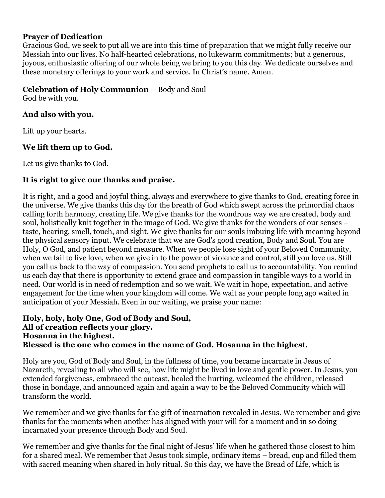### **Prayer of Dedication**

Gracious God, we seek to put all we are into this time of preparation that we might fully receive our Messiah into our lives. No half-hearted celebrations, no lukewarm commitments; but a generous, joyous, enthusiastic offering of our whole being we bring to you this day. We dedicate ourselves and these monetary offerings to your work and service. In Christ's name. Amen.

### **Celebration of Holy Communion** -- Body and Soul

God be with you.

### **And also with you.**

Lift up your hearts.

# **We lift them up to God.**

Let us give thanks to God.

# **It is right to give our thanks and praise.**

It is right, and a good and joyful thing, always and everywhere to give thanks to God, creating force in the universe. We give thanks this day for the breath of God which swept across the primordial chaos calling forth harmony, creating life. We give thanks for the wondrous way we are created, body and soul, holistically knit together in the image of God. We give thanks for the wonders of our senses – taste, hearing, smell, touch, and sight. We give thanks for our souls imbuing life with meaning beyond the physical sensory input. We celebrate that we are God's good creation, Body and Soul. You are Holy, O God, and patient beyond measure. When we people lose sight of your Beloved Community, when we fail to live love, when we give in to the power of violence and control, still you love us. Still you call us back to the way of compassion. You send prophets to call us to accountability. You remind us each day that there is opportunity to extend grace and compassion in tangible ways to a world in need. Our world is in need of redemption and so we wait. We wait in hope, expectation, and active engagement for the time when your kingdom will come. We wait as your people long ago waited in anticipation of your Messiah. Even in our waiting, we praise your name:

### **Holy, holy, holy One, God of Body and Soul, All of creation reflects your glory. Hosanna in the highest. Blessed is the one who comes in the name of God. Hosanna in the highest.**

Holy are you, God of Body and Soul, in the fullness of time, you became incarnate in Jesus of Nazareth, revealing to all who will see, how life might be lived in love and gentle power. In Jesus, you extended forgiveness, embraced the outcast, healed the hurting, welcomed the children, released those in bondage, and announced again and again a way to be the Beloved Community which will transform the world.

We remember and we give thanks for the gift of incarnation revealed in Jesus. We remember and give thanks for the moments when another has aligned with your will for a moment and in so doing incarnated your presence through Body and Soul.

We remember and give thanks for the final night of Jesus' life when he gathered those closest to him for a shared meal. We remember that Jesus took simple, ordinary items – bread, cup and filled them with sacred meaning when shared in holy ritual. So this day, we have the Bread of Life, which is